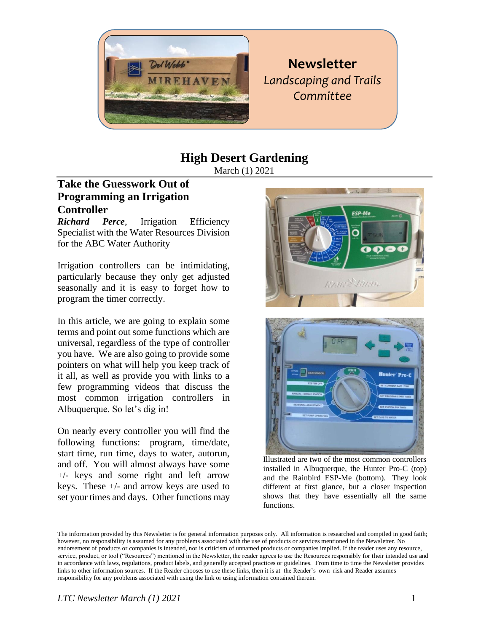

**Newsletter** *Landscaping and Trails Committee* 

## **High Desert Gardening**

March (1) 2021

## **Take the Guesswork Out of Programming an Irrigation Controller**

*Richard Perce*, Irrigation Efficiency Specialist with the Water Resources Division for the ABC Water Authority

Irrigation controllers can be intimidating, particularly because they only get adjusted seasonally and it is easy to forget how to program the timer correctly.

In this article, we are going to explain some terms and point out some functions which are universal, regardless of the type of controller you have. We are also going to provide some pointers on what will help you keep track of it all, as well as provide you with links to a few programming videos that discuss the most common irrigation controllers in Albuquerque. So let's dig in!

On nearly every controller you will find the following functions: program, time/date, start time, run time, days to water, autorun, and off. You will almost always have some +/- keys and some right and left arrow keys. These +/- and arrow keys are used to set your times and days. Other functions may





Illustrated are two of the most common controllers installed in Albuquerque, the Hunter Pro-C (top) and the Rainbird ESP-Me (bottom). They look different at first glance, but a closer inspection shows that they have essentially all the same functions.

The information provided by this Newsletter is for general information purposes only. All information is researched and compiled in good faith; however, no responsibility is assumed for any problems associated with the use of products or services mentioned in the Newsletter. No endorsement of products or companies is intended, nor is criticism of unnamed products or companies implied. If the reader uses any resource, service, product, or tool ("Resources") mentioned in the Newsletter, the reader agrees to use the Resources responsibly for their intended use and in accordance with laws, regulations, product labels, and generally accepted practices or guidelines. From time to time the Newsletter provides links to other information sources. If the Reader chooses to use these links, then it is at the Reader's own risk and Reader assumes responsibility for any problems associated with using the link or using information contained therein.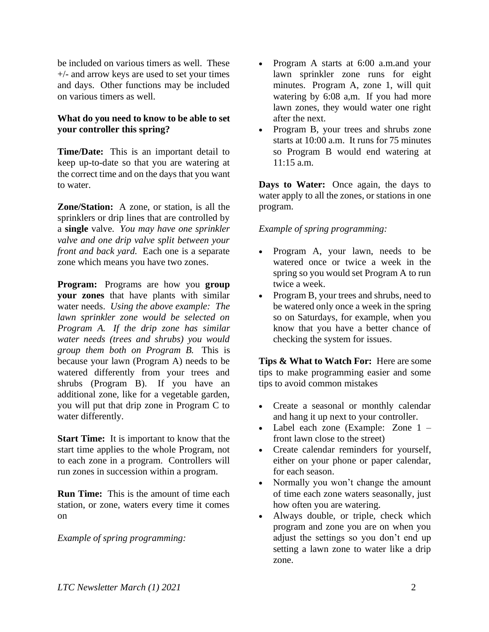be included on various timers as well. These +/- and arrow keys are used to set your times and days. Other functions may be included on various timers as well.

## **What do you need to know to be able to set your controller this spring?**

**Time/Date:** This is an important detail to keep up-to-date so that you are watering at the correct time and on the days that you want to water.

**Zone/Station:** A zone, or station, is all the sprinklers or drip lines that are controlled by a **single** valve. *You may have one sprinkler valve and one drip valve split between your front and back yard.* Each one is a separate zone which means you have two zones.

**Program:** Programs are how you **group your zones** that have plants with similar water needs. *Using the above example: The lawn sprinkler zone would be selected on Program A. If the drip zone has similar water needs (trees and shrubs) you would group them both on Program B.* This is because your lawn (Program A) needs to be watered differently from your trees and shrubs (Program B). If you have an additional zone, like for a vegetable garden, you will put that drip zone in Program C to water differently.

**Start Time:** It is important to know that the start time applies to the whole Program, not to each zone in a program. Controllers will run zones in succession within a program.

**Run Time:** This is the amount of time each station, or zone, waters every time it comes on

*Example of spring programming:*

- Program A starts at 6:00 a.m. and your lawn sprinkler zone runs for eight minutes. Program A, zone 1, will quit watering by 6:08 a,m. If you had more lawn zones, they would water one right after the next.
- Program B, your trees and shrubs zone starts at 10:00 a.m. It runs for 75 minutes so Program B would end watering at  $11:15$  a.m.

**Days to Water:** Once again, the days to water apply to all the zones, or stations in one program.

*Example of spring programming:*

- Program A, your lawn, needs to be watered once or twice a week in the spring so you would set Program A to run twice a week.
- Program B, your trees and shrubs, need to be watered only once a week in the spring so on Saturdays, for example, when you know that you have a better chance of checking the system for issues.

**Tips & What to Watch For:** Here are some tips to make programming easier and some tips to avoid common mistakes

- Create a seasonal or monthly calendar and hang it up next to your controller.
- Label each zone (Example: Zone 1 front lawn close to the street)
- Create calendar reminders for yourself, either on your phone or paper calendar, for each season.
- Normally you won't change the amount of time each zone waters seasonally, just how often you are watering.
- Always double, or triple, check which program and zone you are on when you adjust the settings so you don't end up setting a lawn zone to water like a drip zone.